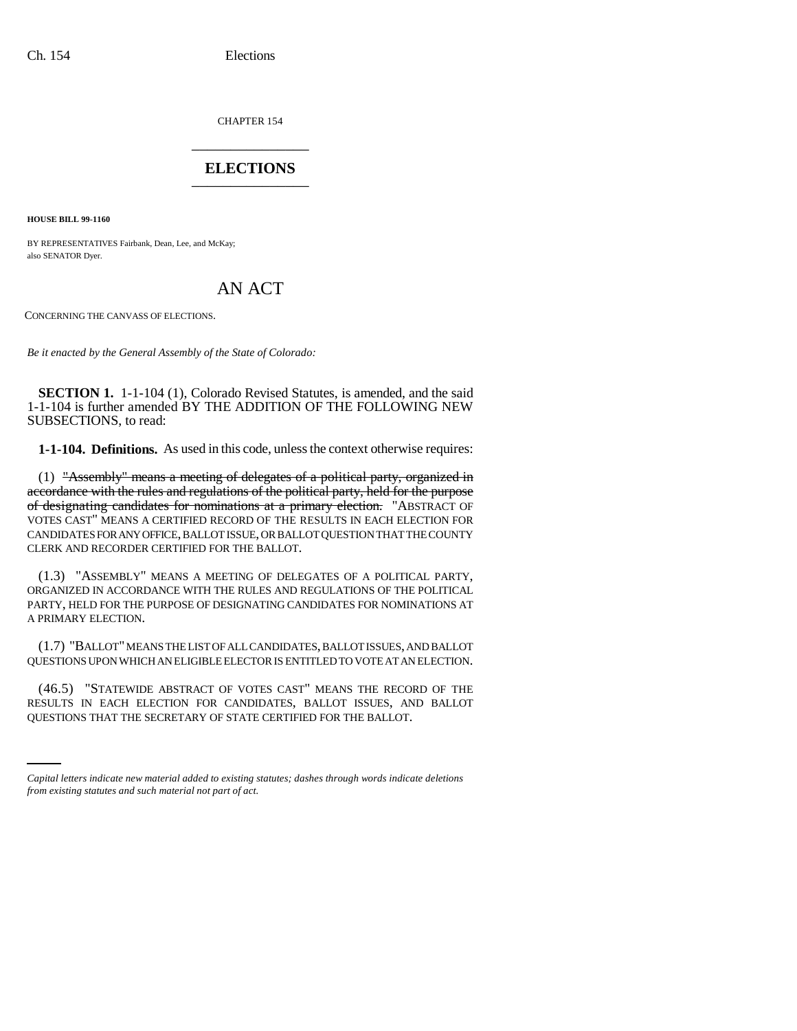CHAPTER 154 \_\_\_\_\_\_\_\_\_\_\_\_\_\_\_

# **ELECTIONS** \_\_\_\_\_\_\_\_\_\_\_\_\_\_\_

**HOUSE BILL 99-1160** 

BY REPRESENTATIVES Fairbank, Dean, Lee, and McKay; also SENATOR Dyer.

# AN ACT

CONCERNING THE CANVASS OF ELECTIONS.

*Be it enacted by the General Assembly of the State of Colorado:*

**SECTION 1.** 1-1-104 (1), Colorado Revised Statutes, is amended, and the said 1-1-104 is further amended BY THE ADDITION OF THE FOLLOWING NEW SUBSECTIONS, to read:

**1-1-104. Definitions.** As used in this code, unless the context otherwise requires:

(1) "Assembly" means a meeting of delegates of a political party, organized in accordance with the rules and regulations of the political party, held for the purpose of designating candidates for nominations at a primary election. "ABSTRACT OF VOTES CAST" MEANS A CERTIFIED RECORD OF THE RESULTS IN EACH ELECTION FOR CANDIDATES FOR ANY OFFICE, BALLOT ISSUE, OR BALLOT QUESTION THAT THE COUNTY CLERK AND RECORDER CERTIFIED FOR THE BALLOT.

(1.3) "ASSEMBLY" MEANS A MEETING OF DELEGATES OF A POLITICAL PARTY, ORGANIZED IN ACCORDANCE WITH THE RULES AND REGULATIONS OF THE POLITICAL PARTY, HELD FOR THE PURPOSE OF DESIGNATING CANDIDATES FOR NOMINATIONS AT A PRIMARY ELECTION.

(1.7) "BALLOT" MEANS THE LIST OF ALL CANDIDATES, BALLOT ISSUES, AND BALLOT QUESTIONS UPON WHICH AN ELIGIBLE ELECTOR IS ENTITLED TO VOTE AT AN ELECTION.

RESULTS IN EACH ELECTION FOR CANDIDATES, BALLOT ISSUES, AND BALLOT (46.5) "STATEWIDE ABSTRACT OF VOTES CAST" MEANS THE RECORD OF THE QUESTIONS THAT THE SECRETARY OF STATE CERTIFIED FOR THE BALLOT.

*Capital letters indicate new material added to existing statutes; dashes through words indicate deletions from existing statutes and such material not part of act.*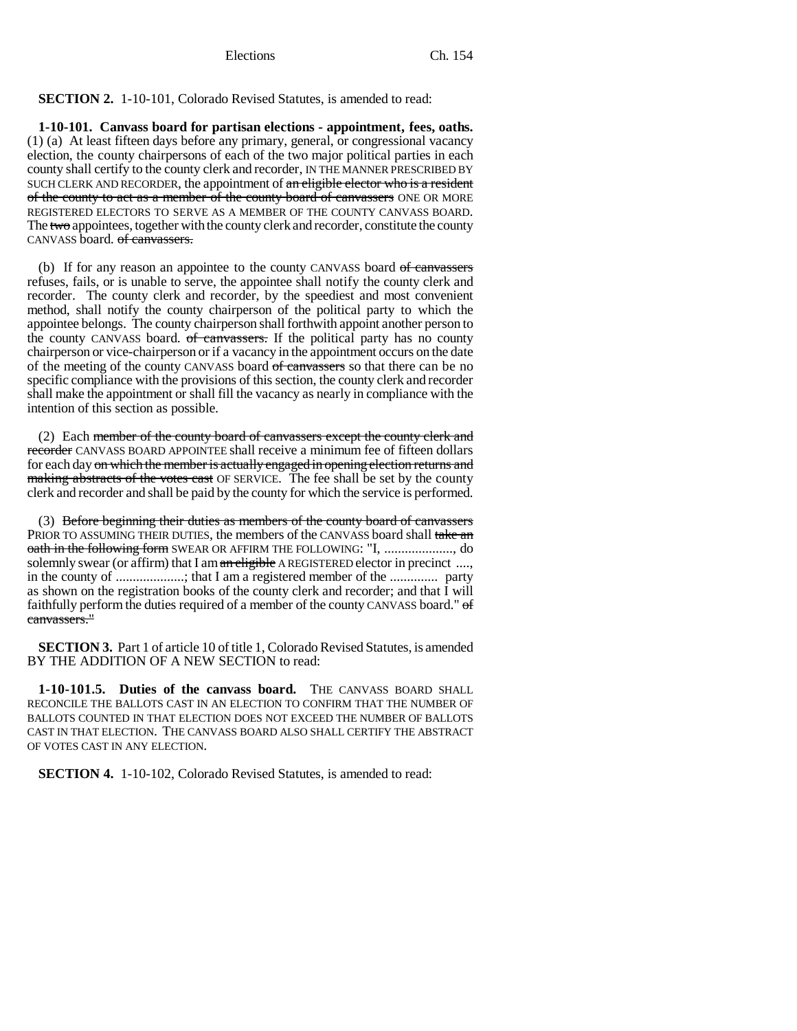# **SECTION 2.** 1-10-101, Colorado Revised Statutes, is amended to read:

**1-10-101. Canvass board for partisan elections - appointment, fees, oaths.** (1) (a) At least fifteen days before any primary, general, or congressional vacancy election, the county chairpersons of each of the two major political parties in each county shall certify to the county clerk and recorder, IN THE MANNER PRESCRIBED BY SUCH CLERK AND RECORDER, the appointment of an eligible elector who is a resident of the county to act as a member of the county board of canvassers ONE OR MORE REGISTERED ELECTORS TO SERVE AS A MEMBER OF THE COUNTY CANVASS BOARD. The two appointees, together with the county clerk and recorder, constitute the county CANVASS board. of canvassers.

(b) If for any reason an appointee to the county CANVASS board of canvassers refuses, fails, or is unable to serve, the appointee shall notify the county clerk and recorder. The county clerk and recorder, by the speediest and most convenient method, shall notify the county chairperson of the political party to which the appointee belongs. The county chairperson shall forthwith appoint another person to the county CANVASS board. of canvassers. If the political party has no county chairperson or vice-chairperson or if a vacancy in the appointment occurs on the date of the meeting of the county CANVASS board of canvassers so that there can be no specific compliance with the provisions of this section, the county clerk and recorder shall make the appointment or shall fill the vacancy as nearly in compliance with the intention of this section as possible.

(2) Each member of the county board of canvassers except the county clerk and recorder CANVASS BOARD APPOINTEE shall receive a minimum fee of fifteen dollars for each day on which the member is actually engaged in opening election returns and making abstracts of the votes cast OF SERVICE. The fee shall be set by the county clerk and recorder and shall be paid by the county for which the service is performed.

(3) Before beginning their duties as members of the county board of canvassers PRIOR TO ASSUMING THEIR DUTIES, the members of the CANVASS board shall take an oath in the following form SWEAR OR AFFIRM THE FOLLOWING: "I, ..................., do solemnly swear (or affirm) that I am an eligible A REGISTERED elector in precinct ...., in the county of ....................; that I am a registered member of the .............. party as shown on the registration books of the county clerk and recorder; and that I will faithfully perform the duties required of a member of the county CANVASS board." of canvassers."

**SECTION 3.** Part 1 of article 10 of title 1, Colorado Revised Statutes, is amended BY THE ADDITION OF A NEW SECTION to read:

**1-10-101.5. Duties of the canvass board.** THE CANVASS BOARD SHALL RECONCILE THE BALLOTS CAST IN AN ELECTION TO CONFIRM THAT THE NUMBER OF BALLOTS COUNTED IN THAT ELECTION DOES NOT EXCEED THE NUMBER OF BALLOTS CAST IN THAT ELECTION. THE CANVASS BOARD ALSO SHALL CERTIFY THE ABSTRACT OF VOTES CAST IN ANY ELECTION.

**SECTION 4.** 1-10-102, Colorado Revised Statutes, is amended to read: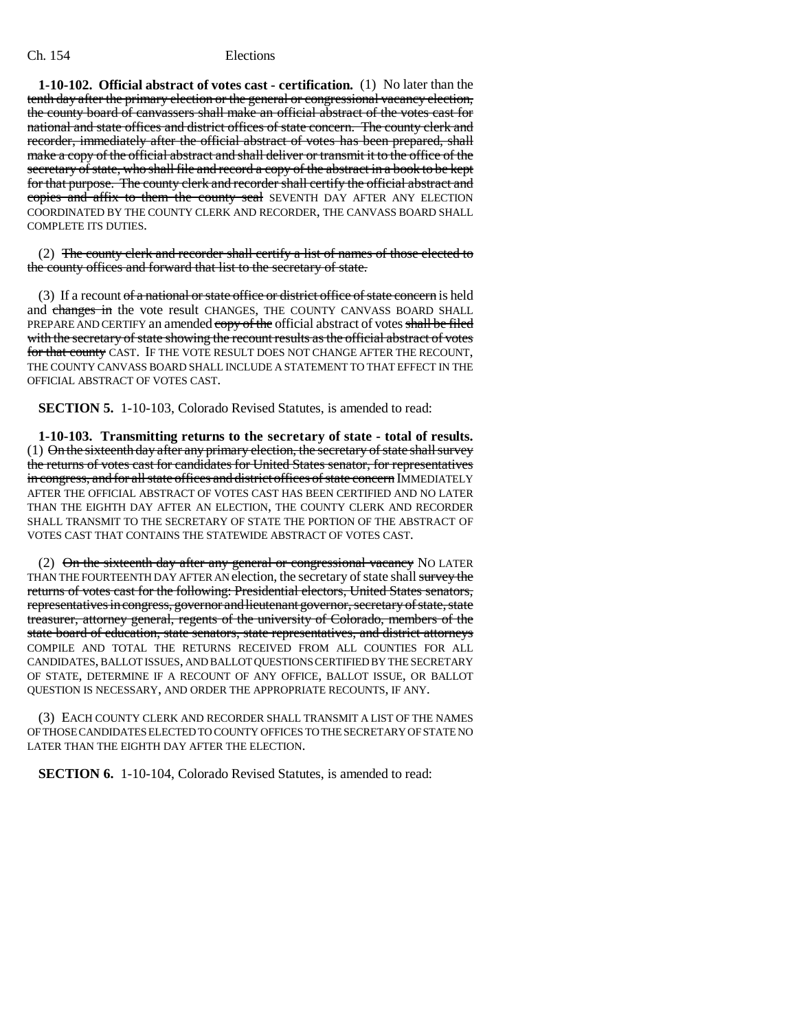**1-10-102. Official abstract of votes cast - certification.** (1) No later than the tenth day after the primary election or the general or congressional vacancy election, the county board of canvassers shall make an official abstract of the votes cast for national and state offices and district offices of state concern. The county clerk and recorder, immediately after the official abstract of votes has been prepared, shall make a copy of the official abstract and shall deliver or transmit it to the office of the secretary of state, who shall file and record a copy of the abstract in a book to be kept for that purpose. The county clerk and recorder shall certify the official abstract and copies and affix to them the county seal SEVENTH DAY AFTER ANY ELECTION COORDINATED BY THE COUNTY CLERK AND RECORDER, THE CANVASS BOARD SHALL COMPLETE ITS DUTIES.

(2) The county clerk and recorder shall certify a list of names of those elected to the county offices and forward that list to the secretary of state.

(3) If a recount of a national or state office or district office of state concern is held and changes in the vote result CHANGES, THE COUNTY CANVASS BOARD SHALL PREPARE AND CERTIFY an amended copy of the official abstract of votes shall be filed with the secretary of state showing the recount results as the official abstract of votes for that county CAST. IF THE VOTE RESULT DOES NOT CHANGE AFTER THE RECOUNT, THE COUNTY CANVASS BOARD SHALL INCLUDE A STATEMENT TO THAT EFFECT IN THE OFFICIAL ABSTRACT OF VOTES CAST.

**SECTION 5.** 1-10-103, Colorado Revised Statutes, is amended to read:

**1-10-103. Transmitting returns to the secretary of state - total of results.** (1) On the sixteenth day after any primary election, the secretary of state shall survey the returns of votes cast for candidates for United States senator, for representatives in congress, and for all state offices and district offices of state concern IMMEDIATELY AFTER THE OFFICIAL ABSTRACT OF VOTES CAST HAS BEEN CERTIFIED AND NO LATER THAN THE EIGHTH DAY AFTER AN ELECTION, THE COUNTY CLERK AND RECORDER SHALL TRANSMIT TO THE SECRETARY OF STATE THE PORTION OF THE ABSTRACT OF VOTES CAST THAT CONTAINS THE STATEWIDE ABSTRACT OF VOTES CAST.

(2)  $\Theta$ n the sixteenth day after any general or congressional vacancy NO LATER THAN THE FOURTEENTH DAY AFTER AN election, the secretary of state shall survey the returns of votes cast for the following: Presidential electors, United States senators, representatives in congress, governor and lieutenant governor, secretary of state, state treasurer, attorney general, regents of the university of Colorado, members of the state board of education, state senators, state representatives, and district attorneys COMPILE AND TOTAL THE RETURNS RECEIVED FROM ALL COUNTIES FOR ALL CANDIDATES, BALLOT ISSUES, AND BALLOT QUESTIONS CERTIFIED BY THE SECRETARY OF STATE, DETERMINE IF A RECOUNT OF ANY OFFICE, BALLOT ISSUE, OR BALLOT QUESTION IS NECESSARY, AND ORDER THE APPROPRIATE RECOUNTS, IF ANY.

(3) EACH COUNTY CLERK AND RECORDER SHALL TRANSMIT A LIST OF THE NAMES OF THOSE CANDIDATES ELECTED TO COUNTY OFFICES TO THE SECRETARY OF STATE NO LATER THAN THE EIGHTH DAY AFTER THE ELECTION.

**SECTION 6.** 1-10-104, Colorado Revised Statutes, is amended to read: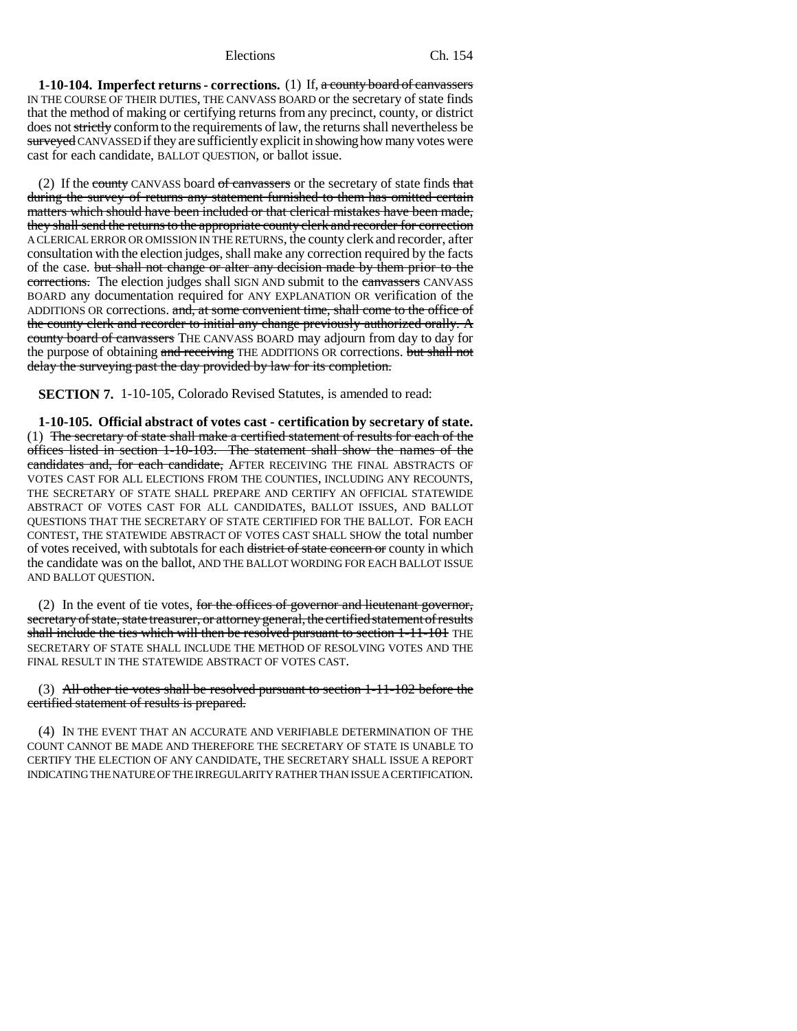**1-10-104. Imperfect returns - corrections.** (1) If, a county board of canvassers IN THE COURSE OF THEIR DUTIES, THE CANVASS BOARD or the secretary of state finds that the method of making or certifying returns from any precinct, county, or district does not strictly conform to the requirements of law, the returns shall nevertheless be surveyed CANVASSED if they are sufficiently explicit in showing how many votes were cast for each candidate, BALLOT QUESTION, or ballot issue.

(2) If the county CANVASS board of canvassers or the secretary of state finds that during the survey of returns any statement furnished to them has omitted certain matters which should have been included or that clerical mistakes have been made, they shall send the returns to the appropriate county clerk and recorder for correction A CLERICAL ERROR OR OMISSION IN THE RETURNS, the county clerk and recorder, after consultation with the election judges, shall make any correction required by the facts of the case. but shall not change or alter any decision made by them prior to the corrections. The election judges shall SIGN AND submit to the canvassers CANVASS BOARD any documentation required for ANY EXPLANATION OR verification of the ADDITIONS OR corrections. and, at some convenient time, shall come to the office of the county clerk and recorder to initial any change previously authorized orally. A county board of canvassers THE CANVASS BOARD may adjourn from day to day for the purpose of obtaining and receiving THE ADDITIONS OR corrections. but shall not delay the surveying past the day provided by law for its completion.

**SECTION 7.** 1-10-105, Colorado Revised Statutes, is amended to read:

**1-10-105. Official abstract of votes cast - certification by secretary of state.** (1) The secretary of state shall make a certified statement of results for each of the offices listed in section 1-10-103. The statement shall show the names of the candidates and, for each candidate, AFTER RECEIVING THE FINAL ABSTRACTS OF VOTES CAST FOR ALL ELECTIONS FROM THE COUNTIES, INCLUDING ANY RECOUNTS, THE SECRETARY OF STATE SHALL PREPARE AND CERTIFY AN OFFICIAL STATEWIDE ABSTRACT OF VOTES CAST FOR ALL CANDIDATES, BALLOT ISSUES, AND BALLOT QUESTIONS THAT THE SECRETARY OF STATE CERTIFIED FOR THE BALLOT. FOR EACH CONTEST, THE STATEWIDE ABSTRACT OF VOTES CAST SHALL SHOW the total number of votes received, with subtotals for each district of state concern or county in which the candidate was on the ballot, AND THE BALLOT WORDING FOR EACH BALLOT ISSUE AND BALLOT QUESTION.

(2) In the event of tie votes, for the offices of governor and lieutenant governor, secretary of state, state treasurer, or attorney general, the certified statement of results shall include the ties which will then be resolved pursuant to section 1-11-101 THE SECRETARY OF STATE SHALL INCLUDE THE METHOD OF RESOLVING VOTES AND THE FINAL RESULT IN THE STATEWIDE ABSTRACT OF VOTES CAST.

## (3) All other tie votes shall be resolved pursuant to section 1-11-102 before the certified statement of results is prepared.

(4) IN THE EVENT THAT AN ACCURATE AND VERIFIABLE DETERMINATION OF THE COUNT CANNOT BE MADE AND THEREFORE THE SECRETARY OF STATE IS UNABLE TO CERTIFY THE ELECTION OF ANY CANDIDATE, THE SECRETARY SHALL ISSUE A REPORT INDICATING THE NATURE OF THE IRREGULARITY RATHER THAN ISSUE A CERTIFICATION.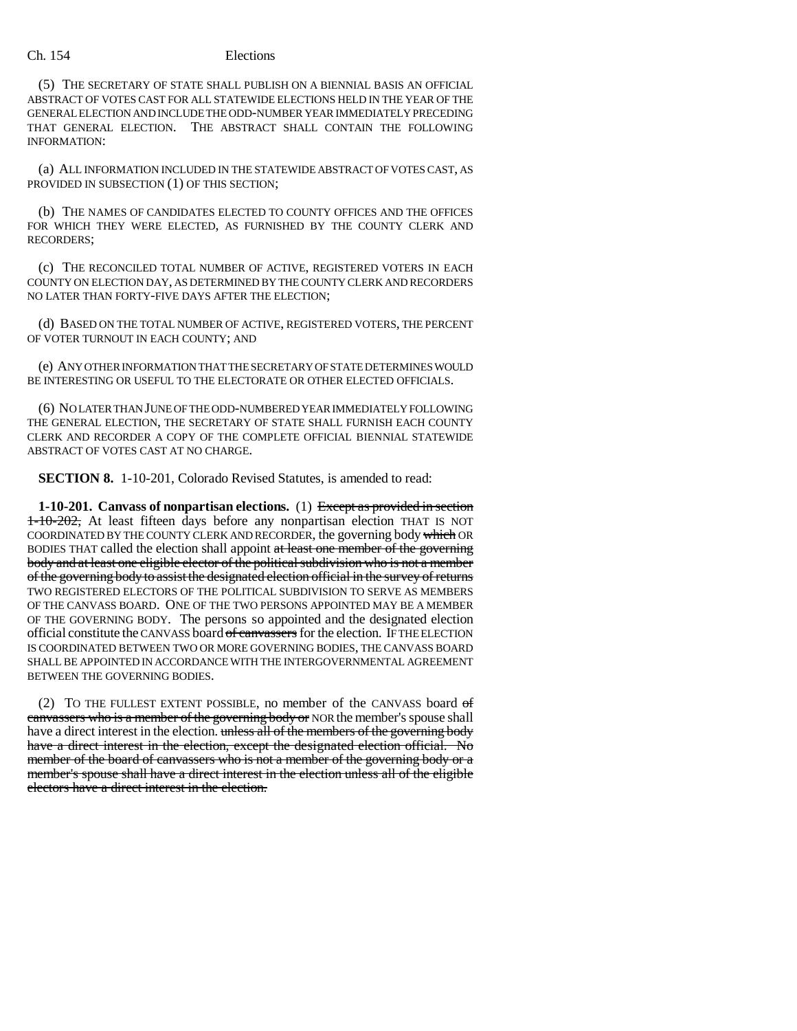(5) THE SECRETARY OF STATE SHALL PUBLISH ON A BIENNIAL BASIS AN OFFICIAL ABSTRACT OF VOTES CAST FOR ALL STATEWIDE ELECTIONS HELD IN THE YEAR OF THE GENERAL ELECTION AND INCLUDE THE ODD-NUMBER YEAR IMMEDIATELY PRECEDING THAT GENERAL ELECTION. THE ABSTRACT SHALL CONTAIN THE FOLLOWING INFORMATION:

(a) ALL INFORMATION INCLUDED IN THE STATEWIDE ABSTRACT OF VOTES CAST, AS PROVIDED IN SUBSECTION (1) OF THIS SECTION;

(b) THE NAMES OF CANDIDATES ELECTED TO COUNTY OFFICES AND THE OFFICES FOR WHICH THEY WERE ELECTED, AS FURNISHED BY THE COUNTY CLERK AND RECORDERS;

(c) THE RECONCILED TOTAL NUMBER OF ACTIVE, REGISTERED VOTERS IN EACH COUNTY ON ELECTION DAY, AS DETERMINED BY THE COUNTY CLERK AND RECORDERS NO LATER THAN FORTY-FIVE DAYS AFTER THE ELECTION;

(d) BASED ON THE TOTAL NUMBER OF ACTIVE, REGISTERED VOTERS, THE PERCENT OF VOTER TURNOUT IN EACH COUNTY; AND

(e) ANY OTHER INFORMATION THAT THE SECRETARY OF STATE DETERMINES WOULD BE INTERESTING OR USEFUL TO THE ELECTORATE OR OTHER ELECTED OFFICIALS.

(6) NO LATER THAN JUNE OF THE ODD-NUMBERED YEAR IMMEDIATELY FOLLOWING THE GENERAL ELECTION, THE SECRETARY OF STATE SHALL FURNISH EACH COUNTY CLERK AND RECORDER A COPY OF THE COMPLETE OFFICIAL BIENNIAL STATEWIDE ABSTRACT OF VOTES CAST AT NO CHARGE.

**SECTION 8.** 1-10-201, Colorado Revised Statutes, is amended to read:

**1-10-201. Canvass of nonpartisan elections.** (1) Except as provided in section 1-10-202, At least fifteen days before any nonpartisan election THAT IS NOT COORDINATED BY THE COUNTY CLERK AND RECORDER, the governing body which OR BODIES THAT called the election shall appoint at least one member of the governing body and at least one eligible elector of the political subdivision who is not a member of the governing body to assist the designated election official in the survey of returns TWO REGISTERED ELECTORS OF THE POLITICAL SUBDIVISION TO SERVE AS MEMBERS OF THE CANVASS BOARD. ONE OF THE TWO PERSONS APPOINTED MAY BE A MEMBER OF THE GOVERNING BODY. The persons so appointed and the designated election official constitute the CANVASS board of canvassers for the election. IF THE ELECTION IS COORDINATED BETWEEN TWO OR MORE GOVERNING BODIES, THE CANVASS BOARD SHALL BE APPOINTED IN ACCORDANCE WITH THE INTERGOVERNMENTAL AGREEMENT BETWEEN THE GOVERNING BODIES.

(2) TO THE FULLEST EXTENT POSSIBLE, no member of the CANVASS board of canvassers who is a member of the governing body or NOR the member's spouse shall have a direct interest in the election. unless all of the members of the governing body have a direct interest in the election, except the designated election official. No member of the board of canvassers who is not a member of the governing body or a member's spouse shall have a direct interest in the election unless all of the eligible electors have a direct interest in the election.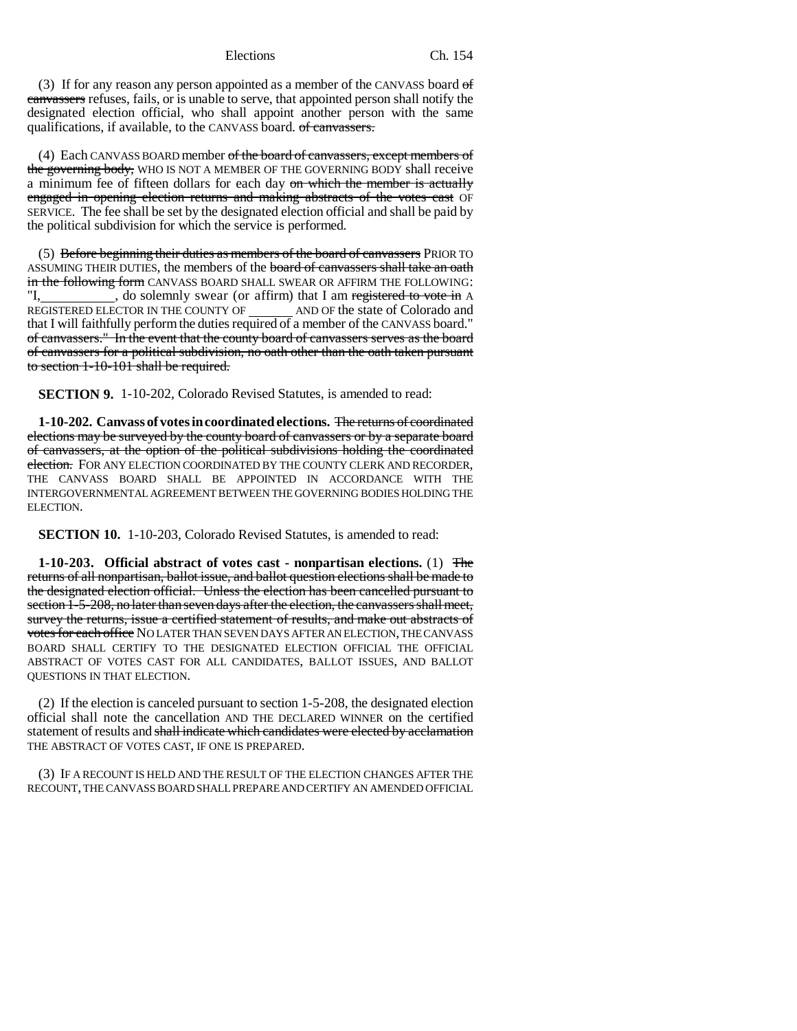(3) If for any reason any person appointed as a member of the CANVASS board of canvassers refuses, fails, or is unable to serve, that appointed person shall notify the designated election official, who shall appoint another person with the same qualifications, if available, to the CANVASS board. of canvassers.

(4) Each CANVASS BOARD member of the board of canvassers, except members of the governing body, WHO IS NOT A MEMBER OF THE GOVERNING BODY shall receive a minimum fee of fifteen dollars for each day on which the member is actually engaged in opening election returns and making abstracts of the votes cast OF SERVICE. The fee shall be set by the designated election official and shall be paid by the political subdivision for which the service is performed.

(5) Before beginning their duties as members of the board of canvassers PRIOR TO ASSUMING THEIR DUTIES, the members of the board of canvassers shall take an oath in the following form CANVASS BOARD SHALL SWEAR OR AFFIRM THE FOLLOWING: "I, old solemnly swear (or affirm) that I am registered to vote in A REGISTERED ELECTOR IN THE COUNTY OF \_\_\_\_\_\_\_\_ AND OF the state of Colorado and that I will faithfully perform the duties required of a member of the CANVASS board." of canvassers." In the event that the county board of canvassers serves as the board of canvassers for a political subdivision, no oath other than the oath taken pursuant to section 1-10-101 shall be required.

**SECTION 9.** 1-10-202, Colorado Revised Statutes, is amended to read:

**1-10-202. Canvass of votes in coordinated elections.** The returns of coordinated elections may be surveyed by the county board of canvassers or by a separate board of canvassers, at the option of the political subdivisions holding the coordinated election. FOR ANY ELECTION COORDINATED BY THE COUNTY CLERK AND RECORDER. THE CANVASS BOARD SHALL BE APPOINTED IN ACCORDANCE WITH THE INTERGOVERNMENTAL AGREEMENT BETWEEN THE GOVERNING BODIES HOLDING THE ELECTION.

**SECTION 10.** 1-10-203, Colorado Revised Statutes, is amended to read:

**1-10-203. Official abstract of votes cast - nonpartisan elections.** (1) The returns of all nonpartisan, ballot issue, and ballot question elections shall be made to the designated election official. Unless the election has been cancelled pursuant to section 1-5-208, no later than seven days after the election, the canvassers shall meet, survey the returns, issue a certified statement of results, and make out abstracts of votes for each office NO LATER THAN SEVEN DAYS AFTER AN ELECTION, THE CANVASS BOARD SHALL CERTIFY TO THE DESIGNATED ELECTION OFFICIAL THE OFFICIAL ABSTRACT OF VOTES CAST FOR ALL CANDIDATES, BALLOT ISSUES, AND BALLOT QUESTIONS IN THAT ELECTION.

(2) If the election is canceled pursuant to section 1-5-208, the designated election official shall note the cancellation AND THE DECLARED WINNER on the certified statement of results and shall indicate which candidates were elected by acclamation THE ABSTRACT OF VOTES CAST, IF ONE IS PREPARED.

(3) IF A RECOUNT IS HELD AND THE RESULT OF THE ELECTION CHANGES AFTER THE RECOUNT, THE CANVASS BOARD SHALL PREPARE AND CERTIFY AN AMENDED OFFICIAL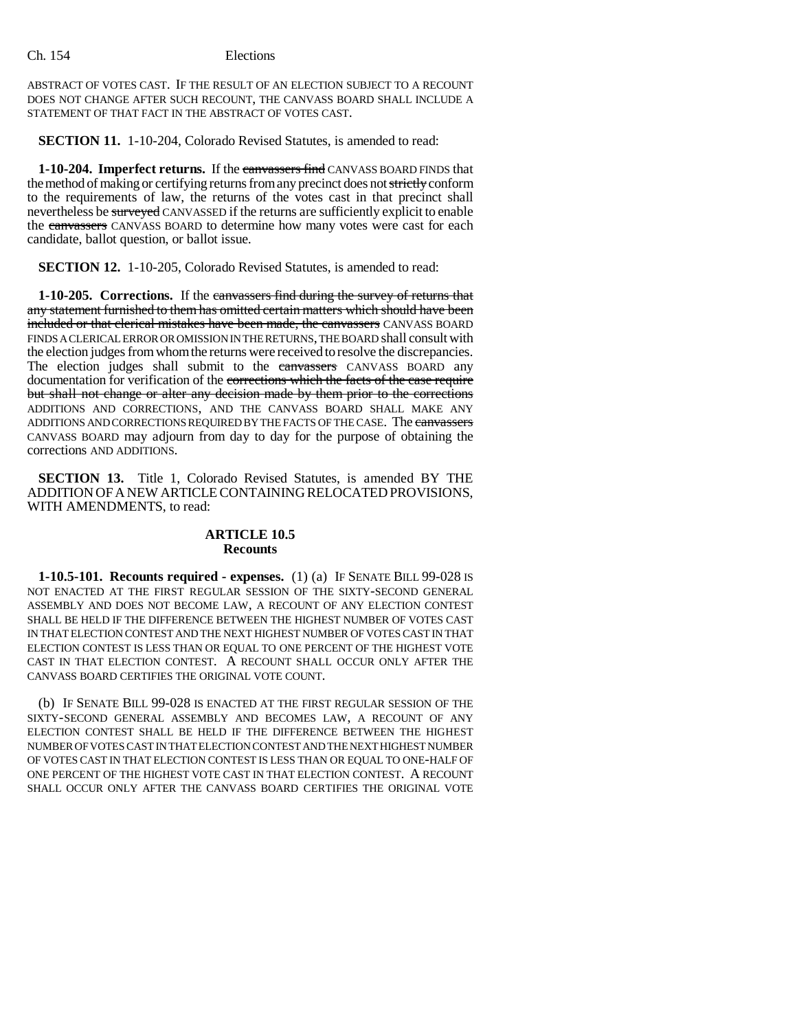ABSTRACT OF VOTES CAST. IF THE RESULT OF AN ELECTION SUBJECT TO A RECOUNT DOES NOT CHANGE AFTER SUCH RECOUNT, THE CANVASS BOARD SHALL INCLUDE A STATEMENT OF THAT FACT IN THE ABSTRACT OF VOTES CAST.

**SECTION 11.** 1-10-204, Colorado Revised Statutes, is amended to read:

**1-10-204. Imperfect returns.** If the canvassers find CANVASS BOARD FINDS that the method of making or certifying returns from any precinct does not strictly conform to the requirements of law, the returns of the votes cast in that precinct shall nevertheless be surveyed CANVASSED if the returns are sufficiently explicit to enable the canvassers CANVASS BOARD to determine how many votes were cast for each candidate, ballot question, or ballot issue.

**SECTION 12.** 1-10-205, Colorado Revised Statutes, is amended to read:

**1-10-205. Corrections.** If the canvassers find during the survey of returns that any statement furnished to them has omitted certain matters which should have been included or that clerical mistakes have been made, the canvassers CANVASS BOARD FINDS A CLERICAL ERROR OR OMISSION IN THE RETURNS, THE BOARD shall consult with the election judges from whom the returns were received to resolve the discrepancies. The election judges shall submit to the eanvassers CANVASS BOARD any documentation for verification of the corrections which the facts of the case require but shall not change or alter any decision made by them prior to the corrections ADDITIONS AND CORRECTIONS, AND THE CANVASS BOARD SHALL MAKE ANY ADDITIONS AND CORRECTIONS REQUIRED BY THE FACTS OF THE CASE. The canvassers CANVASS BOARD may adjourn from day to day for the purpose of obtaining the corrections AND ADDITIONS.

**SECTION 13.** Title 1, Colorado Revised Statutes, is amended BY THE ADDITION OF A NEW ARTICLE CONTAINING RELOCATED PROVISIONS, WITH AMENDMENTS, to read:

# **ARTICLE 10.5 Recounts**

**1-10.5-101. Recounts required - expenses.** (1) (a) IF SENATE BILL 99-028 IS NOT ENACTED AT THE FIRST REGULAR SESSION OF THE SIXTY-SECOND GENERAL ASSEMBLY AND DOES NOT BECOME LAW, A RECOUNT OF ANY ELECTION CONTEST SHALL BE HELD IF THE DIFFERENCE BETWEEN THE HIGHEST NUMBER OF VOTES CAST IN THAT ELECTION CONTEST AND THE NEXT HIGHEST NUMBER OF VOTES CAST IN THAT ELECTION CONTEST IS LESS THAN OR EQUAL TO ONE PERCENT OF THE HIGHEST VOTE CAST IN THAT ELECTION CONTEST. A RECOUNT SHALL OCCUR ONLY AFTER THE CANVASS BOARD CERTIFIES THE ORIGINAL VOTE COUNT.

(b) IF SENATE BILL 99-028 IS ENACTED AT THE FIRST REGULAR SESSION OF THE SIXTY-SECOND GENERAL ASSEMBLY AND BECOMES LAW, A RECOUNT OF ANY ELECTION CONTEST SHALL BE HELD IF THE DIFFERENCE BETWEEN THE HIGHEST NUMBER OF VOTES CAST IN THAT ELECTION CONTEST AND THE NEXT HIGHEST NUMBER OF VOTES CAST IN THAT ELECTION CONTEST IS LESS THAN OR EQUAL TO ONE-HALF OF ONE PERCENT OF THE HIGHEST VOTE CAST IN THAT ELECTION CONTEST. A RECOUNT SHALL OCCUR ONLY AFTER THE CANVASS BOARD CERTIFIES THE ORIGINAL VOTE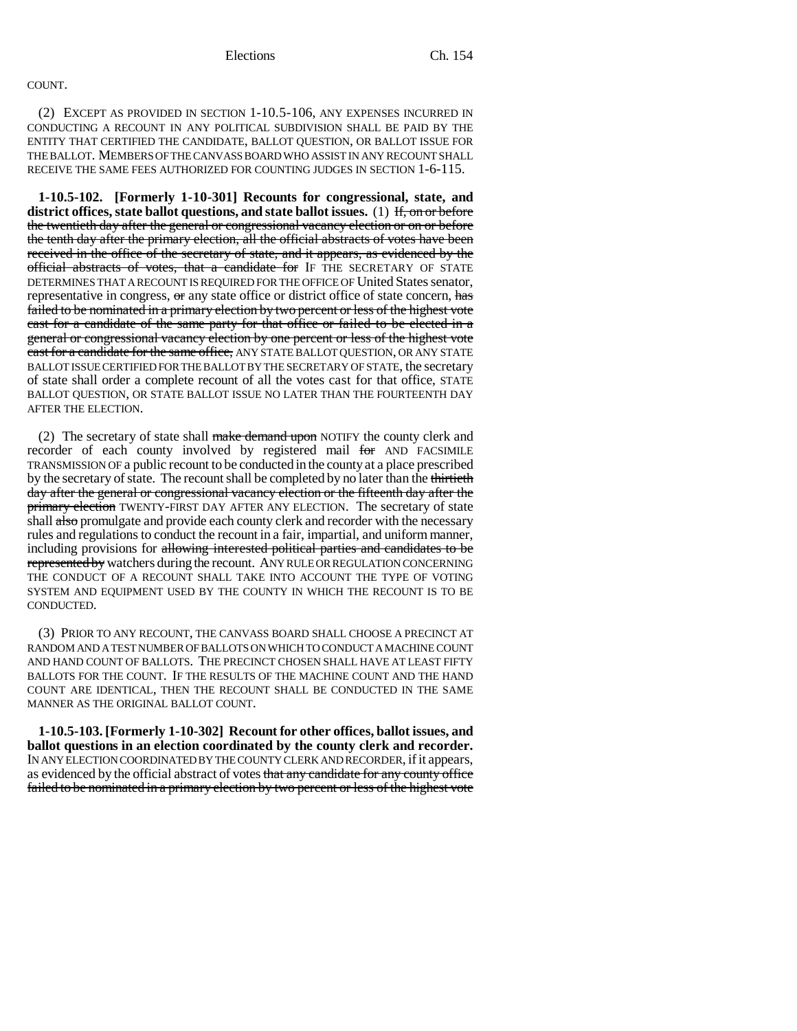# COUNT.

(2) EXCEPT AS PROVIDED IN SECTION 1-10.5-106, ANY EXPENSES INCURRED IN CONDUCTING A RECOUNT IN ANY POLITICAL SUBDIVISION SHALL BE PAID BY THE ENTITY THAT CERTIFIED THE CANDIDATE, BALLOT QUESTION, OR BALLOT ISSUE FOR THE BALLOT. MEMBERS OF THE CANVASS BOARD WHO ASSIST IN ANY RECOUNT SHALL RECEIVE THE SAME FEES AUTHORIZED FOR COUNTING JUDGES IN SECTION 1-6-115.

**1-10.5-102. [Formerly 1-10-301] Recounts for congressional, state, and district offices, state ballot questions, and state ballot issues.** (1) If, on or before the twentieth day after the general or congressional vacancy election or on or before the tenth day after the primary election, all the official abstracts of votes have been received in the office of the secretary of state, and it appears, as evidenced by the official abstracts of votes, that a candidate for IF THE SECRETARY OF STATE DETERMINES THAT A RECOUNT IS REQUIRED FOR THE OFFICE OF United States senator, representative in congress, or any state office or district office of state concern, has failed to be nominated in a primary election by two percent or less of the highest vote cast for a candidate of the same party for that office or failed to be elected in a general or congressional vacancy election by one percent or less of the highest vote cast for a candidate for the same office, ANY STATE BALLOT QUESTION, OR ANY STATE BALLOT ISSUE CERTIFIED FOR THE BALLOT BY THE SECRETARY OF STATE, the secretary of state shall order a complete recount of all the votes cast for that office, STATE BALLOT QUESTION, OR STATE BALLOT ISSUE NO LATER THAN THE FOURTEENTH DAY AFTER THE ELECTION.

(2) The secretary of state shall make demand upon NOTIFY the county clerk and recorder of each county involved by registered mail for AND FACSIMILE TRANSMISSION OF a public recount to be conducted in the county at a place prescribed by the secretary of state. The recount shall be completed by no later than the thirtieth day after the general or congressional vacancy election or the fifteenth day after the primary election TWENTY-FIRST DAY AFTER ANY ELECTION. The secretary of state shall also promulgate and provide each county clerk and recorder with the necessary rules and regulations to conduct the recount in a fair, impartial, and uniform manner, including provisions for allowing interested political parties and candidates to be represented by watchers during the recount. ANY RULE OR REGULATION CONCERNING THE CONDUCT OF A RECOUNT SHALL TAKE INTO ACCOUNT THE TYPE OF VOTING SYSTEM AND EQUIPMENT USED BY THE COUNTY IN WHICH THE RECOUNT IS TO BE CONDUCTED.

(3) PRIOR TO ANY RECOUNT, THE CANVASS BOARD SHALL CHOOSE A PRECINCT AT RANDOM AND A TEST NUMBER OF BALLOTS ON WHICH TO CONDUCT A MACHINE COUNT AND HAND COUNT OF BALLOTS. THE PRECINCT CHOSEN SHALL HAVE AT LEAST FIFTY BALLOTS FOR THE COUNT. IF THE RESULTS OF THE MACHINE COUNT AND THE HAND COUNT ARE IDENTICAL, THEN THE RECOUNT SHALL BE CONDUCTED IN THE SAME MANNER AS THE ORIGINAL BALLOT COUNT.

**1-10.5-103. [Formerly 1-10-302] Recount for other offices, ballot issues, and ballot questions in an election coordinated by the county clerk and recorder.** IN ANY ELECTION COORDINATED BY THE COUNTY CLERK AND RECORDER, if it appears, as evidenced by the official abstract of votes that any candidate for any county office failed to be nominated in a primary election by two percent or less of the highest vote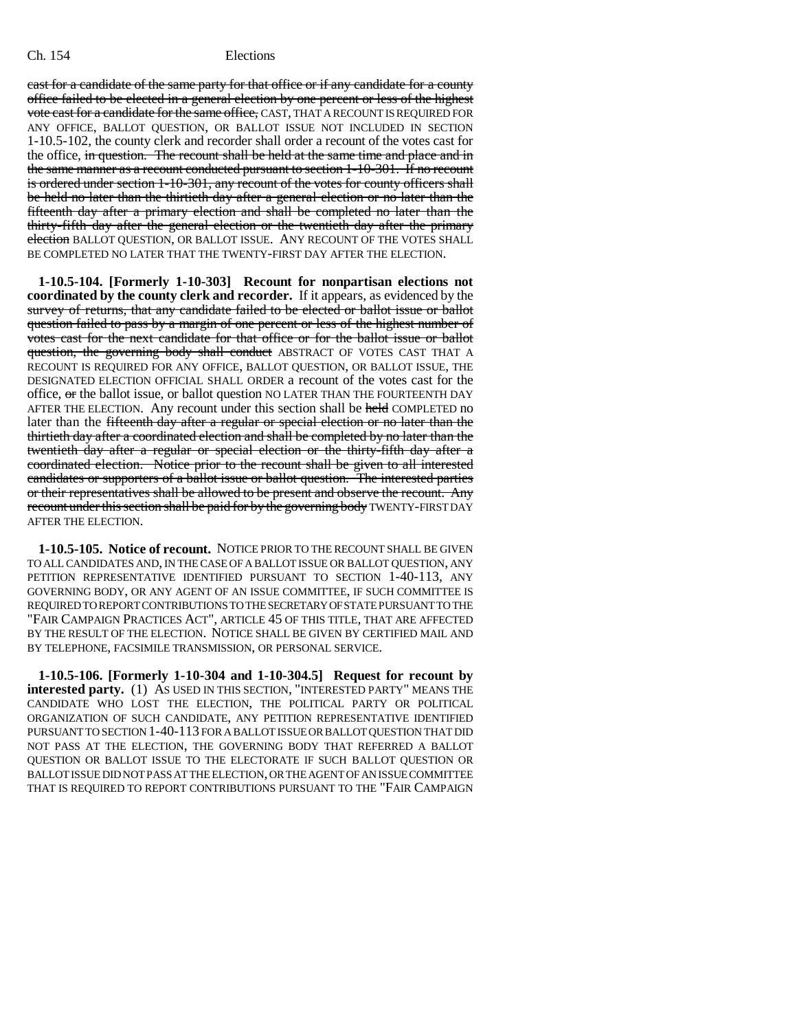cast for a candidate of the same party for that office or if any candidate for a county office failed to be elected in a general election by one percent or less of the highest vote cast for a candidate for the same office, CAST, THAT A RECOUNT IS REQUIRED FOR ANY OFFICE, BALLOT QUESTION, OR BALLOT ISSUE NOT INCLUDED IN SECTION 1-10.5-102, the county clerk and recorder shall order a recount of the votes cast for the office, in question. The recount shall be held at the same time and place and in the same manner as a recount conducted pursuant to section 1-10-301. If no recount is ordered under section 1-10-301, any recount of the votes for county officers shall be held no later than the thirtieth day after a general election or no later than the fifteenth day after a primary election and shall be completed no later than the thirty-fifth day after the general election or the twentieth day after the primary election BALLOT QUESTION, OR BALLOT ISSUE. ANY RECOUNT OF THE VOTES SHALL BE COMPLETED NO LATER THAT THE TWENTY-FIRST DAY AFTER THE ELECTION.

**1-10.5-104. [Formerly 1-10-303] Recount for nonpartisan elections not coordinated by the county clerk and recorder.** If it appears, as evidenced by the survey of returns, that any candidate failed to be elected or ballot issue or ballot question failed to pass by a margin of one percent or less of the highest number of votes cast for the next candidate for that office or for the ballot issue or ballot question, the governing body shall conduct ABSTRACT OF VOTES CAST THAT A RECOUNT IS REQUIRED FOR ANY OFFICE, BALLOT QUESTION, OR BALLOT ISSUE, THE DESIGNATED ELECTION OFFICIAL SHALL ORDER a recount of the votes cast for the office, or the ballot issue, or ballot question NO LATER THAN THE FOURTEENTH DAY AFTER THE ELECTION. Any recount under this section shall be held COMPLETED no later than the fifteenth day after a regular or special election or no later than the thirtieth day after a coordinated election and shall be completed by no later than the twentieth day after a regular or special election or the thirty-fifth day after a coordinated election. Notice prior to the recount shall be given to all interested candidates or supporters of a ballot issue or ballot question. The interested parties or their representatives shall be allowed to be present and observe the recount. Any recount under this section shall be paid for by the governing body TWENTY-FIRST DAY AFTER THE ELECTION.

**1-10.5-105. Notice of recount.** NOTICE PRIOR TO THE RECOUNT SHALL BE GIVEN TO ALL CANDIDATES AND, IN THE CASE OF A BALLOT ISSUE OR BALLOT QUESTION, ANY PETITION REPRESENTATIVE IDENTIFIED PURSUANT TO SECTION 1-40-113, ANY GOVERNING BODY, OR ANY AGENT OF AN ISSUE COMMITTEE, IF SUCH COMMITTEE IS REQUIRED TO REPORT CONTRIBUTIONS TO THE SECRETARY OF STATE PURSUANT TO THE "FAIR CAMPAIGN PRACTICES ACT", ARTICLE 45 OF THIS TITLE, THAT ARE AFFECTED BY THE RESULT OF THE ELECTION. NOTICE SHALL BE GIVEN BY CERTIFIED MAIL AND BY TELEPHONE, FACSIMILE TRANSMISSION, OR PERSONAL SERVICE.

**1-10.5-106. [Formerly 1-10-304 and 1-10-304.5] Request for recount by interested party.** (1) AS USED IN THIS SECTION, "INTERESTED PARTY" MEANS THE CANDIDATE WHO LOST THE ELECTION, THE POLITICAL PARTY OR POLITICAL ORGANIZATION OF SUCH CANDIDATE, ANY PETITION REPRESENTATIVE IDENTIFIED PURSUANT TO SECTION 1-40-113 FOR A BALLOT ISSUE OR BALLOT QUESTION THAT DID NOT PASS AT THE ELECTION, THE GOVERNING BODY THAT REFERRED A BALLOT QUESTION OR BALLOT ISSUE TO THE ELECTORATE IF SUCH BALLOT QUESTION OR BALLOT ISSUE DID NOT PASS AT THE ELECTION, OR THE AGENT OF AN ISSUE COMMITTEE THAT IS REQUIRED TO REPORT CONTRIBUTIONS PURSUANT TO THE "FAIR CAMPAIGN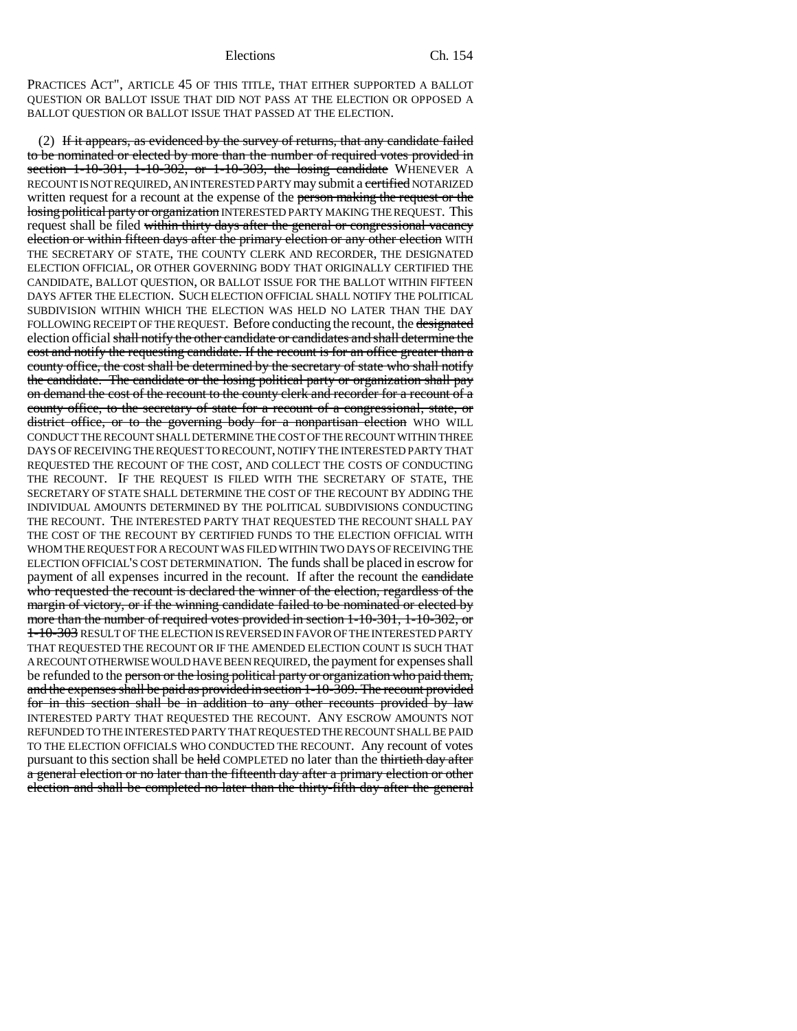PRACTICES ACT", ARTICLE 45 OF THIS TITLE, THAT EITHER SUPPORTED A BALLOT QUESTION OR BALLOT ISSUE THAT DID NOT PASS AT THE ELECTION OR OPPOSED A BALLOT QUESTION OR BALLOT ISSUE THAT PASSED AT THE ELECTION.

(2) If it appears, as evidenced by the survey of returns, that any candidate failed to be nominated or elected by more than the number of required votes provided in section 1-10-301, 1-10-302, or 1-10-303, the losing candidate WHENEVER A RECOUNT IS NOT REQUIRED, AN INTERESTED PARTY may submit a certified NOTARIZED written request for a recount at the expense of the person making the request or the losing political party or organization INTERESTED PARTY MAKING THE REQUEST. This request shall be filed within thirty days after the general or congressional vacancy election or within fifteen days after the primary election or any other election WITH THE SECRETARY OF STATE, THE COUNTY CLERK AND RECORDER, THE DESIGNATED ELECTION OFFICIAL, OR OTHER GOVERNING BODY THAT ORIGINALLY CERTIFIED THE CANDIDATE, BALLOT QUESTION, OR BALLOT ISSUE FOR THE BALLOT WITHIN FIFTEEN DAYS AFTER THE ELECTION. SUCH ELECTION OFFICIAL SHALL NOTIFY THE POLITICAL SUBDIVISION WITHIN WHICH THE ELECTION WAS HELD NO LATER THAN THE DAY FOLLOWING RECEIPT OF THE REQUEST. Before conducting the recount, the designated election official shall notify the other candidate or candidates and shall determine the cost and notify the requesting candidate. If the recount is for an office greater than a county office, the cost shall be determined by the secretary of state who shall notify the candidate. The candidate or the losing political party or organization shall pay on demand the cost of the recount to the county clerk and recorder for a recount of a county office, to the secretary of state for a recount of a congressional, state, or district office, or to the governing body for a nonpartisan election WHO WILL CONDUCT THE RECOUNT SHALL DETERMINE THE COST OF THE RECOUNT WITHIN THREE DAYS OF RECEIVING THE REQUEST TO RECOUNT, NOTIFY THE INTERESTED PARTY THAT REQUESTED THE RECOUNT OF THE COST, AND COLLECT THE COSTS OF CONDUCTING THE RECOUNT. IF THE REQUEST IS FILED WITH THE SECRETARY OF STATE, THE SECRETARY OF STATE SHALL DETERMINE THE COST OF THE RECOUNT BY ADDING THE INDIVIDUAL AMOUNTS DETERMINED BY THE POLITICAL SUBDIVISIONS CONDUCTING THE RECOUNT. THE INTERESTED PARTY THAT REQUESTED THE RECOUNT SHALL PAY THE COST OF THE RECOUNT BY CERTIFIED FUNDS TO THE ELECTION OFFICIAL WITH WHOM THE REQUEST FOR A RECOUNT WAS FILED WITHIN TWO DAYS OF RECEIVING THE ELECTION OFFICIAL'S COST DETERMINATION. The funds shall be placed in escrow for payment of all expenses incurred in the recount. If after the recount the candidate who requested the recount is declared the winner of the election, regardless of the margin of victory, or if the winning candidate failed to be nominated or elected by more than the number of required votes provided in section 1-10-301, 1-10-302, or 1-10-303 RESULT OF THE ELECTION IS REVERSED IN FAVOR OF THE INTERESTED PARTY THAT REQUESTED THE RECOUNT OR IF THE AMENDED ELECTION COUNT IS SUCH THAT A RECOUNT OTHERWISE WOULD HAVE BEEN REQUIRED, the payment for expenses shall be refunded to the person or the losing political party or organization who paid them, and the expenses shall be paid as provided in section 1-10-309. The recount provided for in this section shall be in addition to any other recounts provided by law INTERESTED PARTY THAT REQUESTED THE RECOUNT. ANY ESCROW AMOUNTS NOT REFUNDED TO THE INTERESTED PARTY THAT REQUESTED THE RECOUNT SHALL BE PAID TO THE ELECTION OFFICIALS WHO CONDUCTED THE RECOUNT. Any recount of votes pursuant to this section shall be held COMPLETED no later than the thirtieth day after a general election or no later than the fifteenth day after a primary election or other election and shall be completed no later than the thirty-fifth day after the general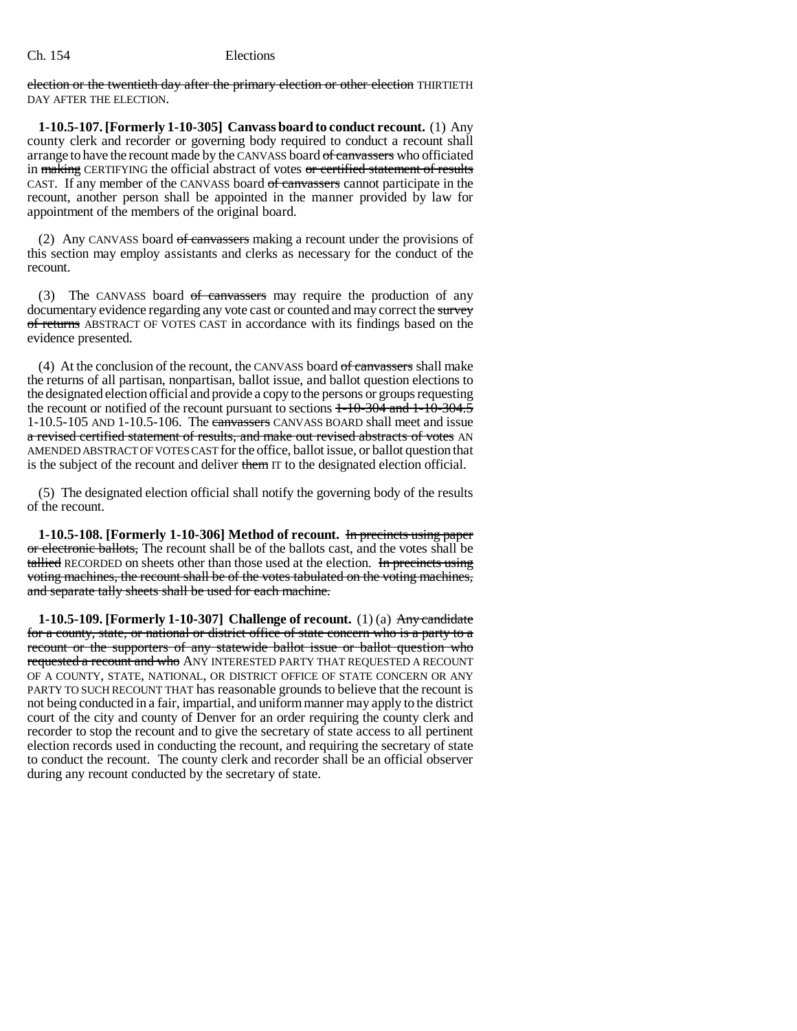election or the twentieth day after the primary election or other election THIRTIETH DAY AFTER THE ELECTION.

**1-10.5-107. [Formerly 1-10-305] Canvass board to conduct recount.** (1) Any county clerk and recorder or governing body required to conduct a recount shall arrange to have the recount made by the CANVASS board of canvassers who officiated in making CERTIFYING the official abstract of votes or certified statement of results CAST. If any member of the CANVASS board of canvassers cannot participate in the recount, another person shall be appointed in the manner provided by law for appointment of the members of the original board.

(2) Any CANVASS board of canvassers making a recount under the provisions of this section may employ assistants and clerks as necessary for the conduct of the recount.

(3) The CANVASS board of canvassers may require the production of any documentary evidence regarding any vote cast or counted and may correct the survey of returns ABSTRACT OF VOTES CAST in accordance with its findings based on the evidence presented.

(4) At the conclusion of the recount, the CANVASS board  $of$  canvassers shall make the returns of all partisan, nonpartisan, ballot issue, and ballot question elections to the designated election official and provide a copy to the persons or groups requesting the recount or notified of the recount pursuant to sections  $1\text{-}10\text{-}304$  and  $1\text{-}10\text{-}304.5$ 1-10.5-105 AND 1-10.5-106. The canvassers CANVASS BOARD shall meet and issue a revised certified statement of results, and make out revised abstracts of votes AN AMENDED ABSTRACT OF VOTES CAST for the office, ballot issue, or ballot question that is the subject of the recount and deliver them IT to the designated election official.

(5) The designated election official shall notify the governing body of the results of the recount.

**1-10.5-108. [Formerly 1-10-306] Method of recount.** In precincts using paper or electronic ballots, The recount shall be of the ballots cast, and the votes shall be tallied RECORDED on sheets other than those used at the election. In precincts using voting machines, the recount shall be of the votes tabulated on the voting machines, and separate tally sheets shall be used for each machine.

**1-10.5-109. [Formerly 1-10-307] Challenge of recount.** (1) (a) Any candidate for a county, state, or national or district office of state concern who is a party to a recount or the supporters of any statewide ballot issue or ballot question who requested a recount and who ANY INTERESTED PARTY THAT REQUESTED A RECOUNT OF A COUNTY, STATE, NATIONAL, OR DISTRICT OFFICE OF STATE CONCERN OR ANY PARTY TO SUCH RECOUNT THAT has reasonable grounds to believe that the recount is not being conducted in a fair, impartial, and uniform manner may apply to the district court of the city and county of Denver for an order requiring the county clerk and recorder to stop the recount and to give the secretary of state access to all pertinent election records used in conducting the recount, and requiring the secretary of state to conduct the recount. The county clerk and recorder shall be an official observer during any recount conducted by the secretary of state.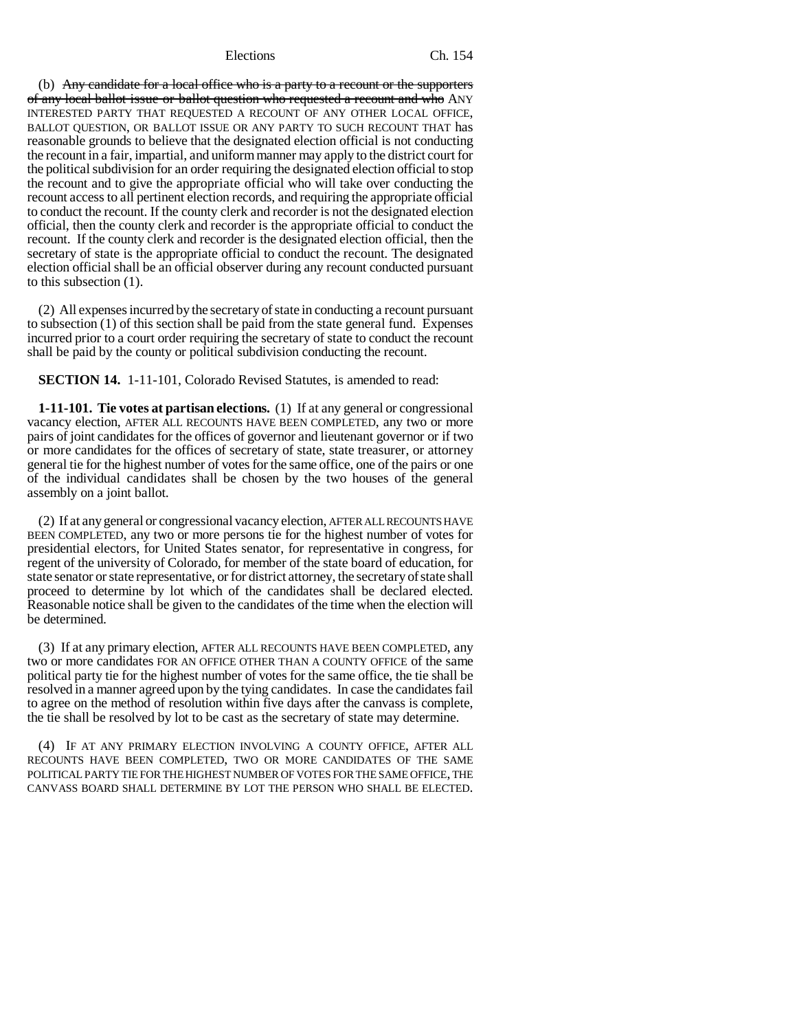(b) Any candidate for a local office who is a party to a recount or the supporters of any local ballot issue or ballot question who requested a recount and who ANY INTERESTED PARTY THAT REQUESTED A RECOUNT OF ANY OTHER LOCAL OFFICE, BALLOT QUESTION, OR BALLOT ISSUE OR ANY PARTY TO SUCH RECOUNT THAT has reasonable grounds to believe that the designated election official is not conducting the recount in a fair, impartial, and uniform manner may apply to the district court for the political subdivision for an order requiring the designated election official to stop the recount and to give the appropriate official who will take over conducting the recount access to all pertinent election records, and requiring the appropriate official to conduct the recount. If the county clerk and recorder is not the designated election official, then the county clerk and recorder is the appropriate official to conduct the recount. If the county clerk and recorder is the designated election official, then the secretary of state is the appropriate official to conduct the recount. The designated election official shall be an official observer during any recount conducted pursuant to this subsection (1).

(2) All expenses incurred by the secretary of state in conducting a recount pursuant to subsection (1) of this section shall be paid from the state general fund. Expenses incurred prior to a court order requiring the secretary of state to conduct the recount shall be paid by the county or political subdivision conducting the recount.

**SECTION 14.** 1-11-101, Colorado Revised Statutes, is amended to read:

**1-11-101. Tie votes at partisan elections.** (1) If at any general or congressional vacancy election, AFTER ALL RECOUNTS HAVE BEEN COMPLETED, any two or more pairs of joint candidates for the offices of governor and lieutenant governor or if two or more candidates for the offices of secretary of state, state treasurer, or attorney general tie for the highest number of votes for the same office, one of the pairs or one of the individual candidates shall be chosen by the two houses of the general assembly on a joint ballot.

(2) If at any general or congressional vacancy election, AFTER ALL RECOUNTS HAVE BEEN COMPLETED, any two or more persons tie for the highest number of votes for presidential electors, for United States senator, for representative in congress, for regent of the university of Colorado, for member of the state board of education, for state senator or state representative, or for district attorney, the secretary of state shall proceed to determine by lot which of the candidates shall be declared elected. Reasonable notice shall be given to the candidates of the time when the election will be determined.

(3) If at any primary election, AFTER ALL RECOUNTS HAVE BEEN COMPLETED, any two or more candidates FOR AN OFFICE OTHER THAN A COUNTY OFFICE of the same political party tie for the highest number of votes for the same office, the tie shall be resolved in a manner agreed upon by the tying candidates. In case the candidates fail to agree on the method of resolution within five days after the canvass is complete, the tie shall be resolved by lot to be cast as the secretary of state may determine.

(4) IF AT ANY PRIMARY ELECTION INVOLVING A COUNTY OFFICE, AFTER ALL RECOUNTS HAVE BEEN COMPLETED, TWO OR MORE CANDIDATES OF THE SAME POLITICAL PARTY TIE FOR THE HIGHEST NUMBER OF VOTES FOR THE SAME OFFICE, THE CANVASS BOARD SHALL DETERMINE BY LOT THE PERSON WHO SHALL BE ELECTED.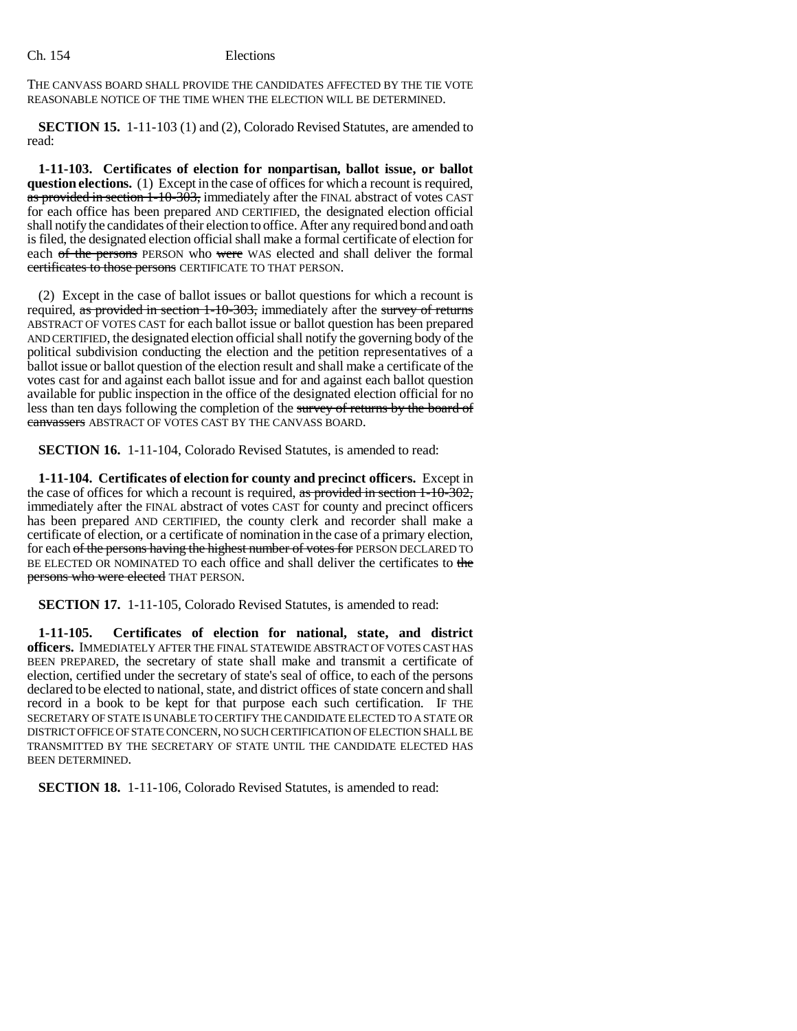THE CANVASS BOARD SHALL PROVIDE THE CANDIDATES AFFECTED BY THE TIE VOTE REASONABLE NOTICE OF THE TIME WHEN THE ELECTION WILL BE DETERMINED.

**SECTION 15.** 1-11-103 (1) and (2), Colorado Revised Statutes, are amended to read:

**1-11-103. Certificates of election for nonpartisan, ballot issue, or ballot question elections.** (1) Except in the case of offices for which a recount is required, as provided in section 1-10-303, immediately after the FINAL abstract of votes CAST for each office has been prepared AND CERTIFIED, the designated election official shall notify the candidates of their election to office. After any required bond and oath is filed, the designated election official shall make a formal certificate of election for each of the persons PERSON who were WAS elected and shall deliver the formal certificates to those persons CERTIFICATE TO THAT PERSON.

(2) Except in the case of ballot issues or ballot questions for which a recount is required, as provided in section 1-10-303, immediately after the survey of returns ABSTRACT OF VOTES CAST for each ballot issue or ballot question has been prepared AND CERTIFIED, the designated election official shall notify the governing body of the political subdivision conducting the election and the petition representatives of a ballot issue or ballot question of the election result and shall make a certificate of the votes cast for and against each ballot issue and for and against each ballot question available for public inspection in the office of the designated election official for no less than ten days following the completion of the survey of returns by the board of canvassers ABSTRACT OF VOTES CAST BY THE CANVASS BOARD.

**SECTION 16.** 1-11-104, Colorado Revised Statutes, is amended to read:

**1-11-104. Certificates of election for county and precinct officers.** Except in the case of offices for which a recount is required, as provided in section  $1-10-302$ , immediately after the FINAL abstract of votes CAST for county and precinct officers has been prepared AND CERTIFIED, the county clerk and recorder shall make a certificate of election, or a certificate of nomination in the case of a primary election, for each of the persons having the highest number of votes for PERSON DECLARED TO BE ELECTED OR NOMINATED TO each office and shall deliver the certificates to the persons who were elected THAT PERSON.

**SECTION 17.** 1-11-105, Colorado Revised Statutes, is amended to read:

**1-11-105. Certificates of election for national, state, and district officers.** IMMEDIATELY AFTER THE FINAL STATEWIDE ABSTRACT OF VOTES CAST HAS BEEN PREPARED, the secretary of state shall make and transmit a certificate of election, certified under the secretary of state's seal of office, to each of the persons declared to be elected to national, state, and district offices of state concern and shall record in a book to be kept for that purpose each such certification. IF THE SECRETARY OF STATE IS UNABLE TO CERTIFY THE CANDIDATE ELECTED TO A STATE OR DISTRICT OFFICE OF STATE CONCERN, NO SUCH CERTIFICATION OF ELECTION SHALL BE TRANSMITTED BY THE SECRETARY OF STATE UNTIL THE CANDIDATE ELECTED HAS BEEN DETERMINED.

**SECTION 18.** 1-11-106, Colorado Revised Statutes, is amended to read: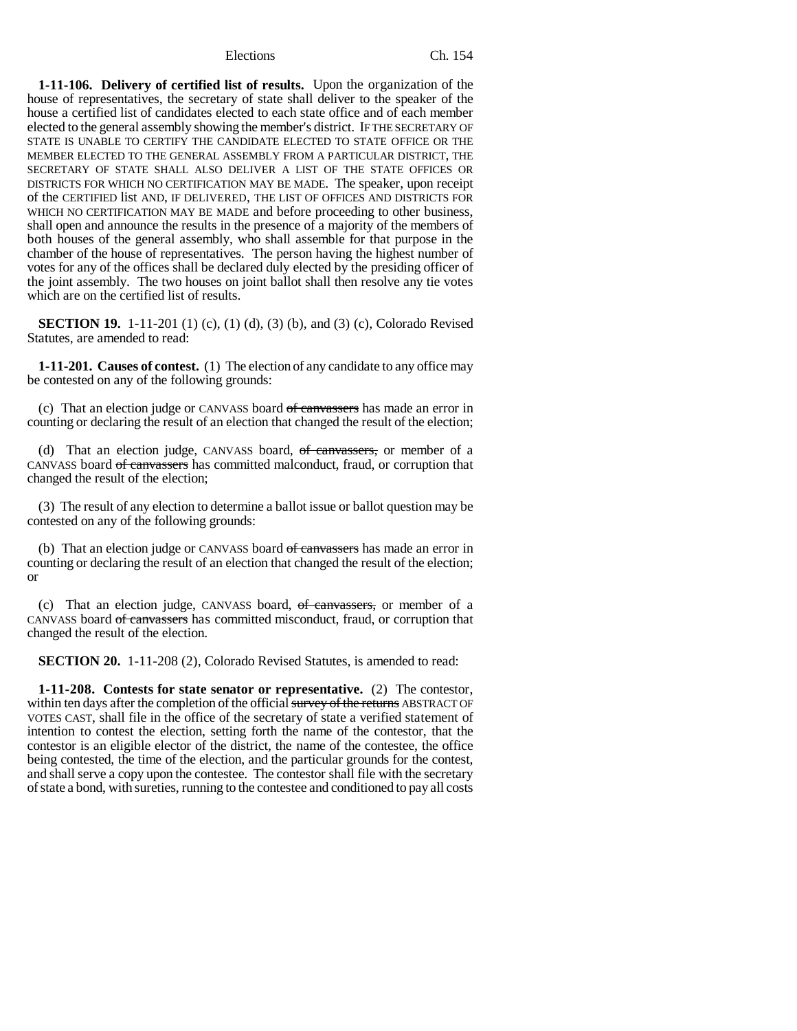**1-11-106. Delivery of certified list of results.** Upon the organization of the house of representatives, the secretary of state shall deliver to the speaker of the house a certified list of candidates elected to each state office and of each member elected to the general assembly showing the member's district. IF THE SECRETARY OF STATE IS UNABLE TO CERTIFY THE CANDIDATE ELECTED TO STATE OFFICE OR THE MEMBER ELECTED TO THE GENERAL ASSEMBLY FROM A PARTICULAR DISTRICT, THE SECRETARY OF STATE SHALL ALSO DELIVER A LIST OF THE STATE OFFICES OR DISTRICTS FOR WHICH NO CERTIFICATION MAY BE MADE. The speaker, upon receipt of the CERTIFIED list AND, IF DELIVERED, THE LIST OF OFFICES AND DISTRICTS FOR WHICH NO CERTIFICATION MAY BE MADE and before proceeding to other business, shall open and announce the results in the presence of a majority of the members of both houses of the general assembly, who shall assemble for that purpose in the chamber of the house of representatives. The person having the highest number of votes for any of the offices shall be declared duly elected by the presiding officer of the joint assembly. The two houses on joint ballot shall then resolve any tie votes which are on the certified list of results.

**SECTION 19.** 1-11-201 (1) (c), (1) (d), (3) (b), and (3) (c), Colorado Revised Statutes, are amended to read:

**1-11-201. Causes of contest.** (1) The election of any candidate to any office may be contested on any of the following grounds:

(c) That an election judge or CANVASS board of canvassers has made an error in counting or declaring the result of an election that changed the result of the election;

(d) That an election judge, CANVASS board, of canvassers, or member of a CANVASS board of canvassers has committed malconduct, fraud, or corruption that changed the result of the election;

(3) The result of any election to determine a ballot issue or ballot question may be contested on any of the following grounds:

(b) That an election judge or CANVASS board of canvassers has made an error in counting or declaring the result of an election that changed the result of the election; or

(c) That an election judge, CANVASS board, of canvassers, or member of a CANVASS board of canvassers has committed misconduct, fraud, or corruption that changed the result of the election.

**SECTION 20.** 1-11-208 (2), Colorado Revised Statutes, is amended to read:

**1-11-208. Contests for state senator or representative.** (2) The contestor, within ten days after the completion of the official survey of the returns ABSTRACT OF VOTES CAST, shall file in the office of the secretary of state a verified statement of intention to contest the election, setting forth the name of the contestor, that the contestor is an eligible elector of the district, the name of the contestee, the office being contested, the time of the election, and the particular grounds for the contest, and shall serve a copy upon the contestee. The contestor shall file with the secretary of state a bond, with sureties, running to the contestee and conditioned to pay all costs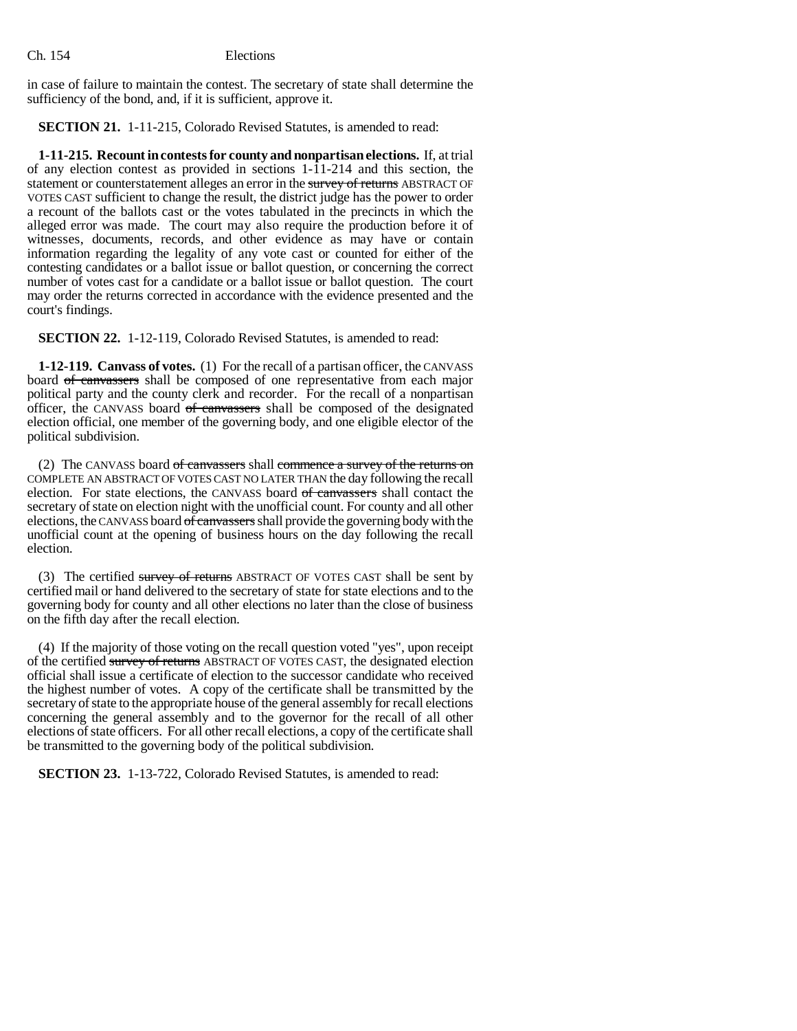in case of failure to maintain the contest. The secretary of state shall determine the sufficiency of the bond, and, if it is sufficient, approve it.

**SECTION 21.** 1-11-215, Colorado Revised Statutes, is amended to read:

**1-11-215. Recount in contests for county and nonpartisan elections.** If, at trial of any election contest as provided in sections  $1-\overline{11}-214$  and this section, the statement or counterstatement alleges an error in the survey of returns ABSTRACT OF VOTES CAST sufficient to change the result, the district judge has the power to order a recount of the ballots cast or the votes tabulated in the precincts in which the alleged error was made. The court may also require the production before it of witnesses, documents, records, and other evidence as may have or contain information regarding the legality of any vote cast or counted for either of the contesting candidates or a ballot issue or ballot question, or concerning the correct number of votes cast for a candidate or a ballot issue or ballot question. The court may order the returns corrected in accordance with the evidence presented and the court's findings.

**SECTION 22.** 1-12-119, Colorado Revised Statutes, is amended to read:

**1-12-119. Canvass of votes.** (1) For the recall of a partisan officer, the CANVASS board of canvassers shall be composed of one representative from each major political party and the county clerk and recorder. For the recall of a nonpartisan officer, the CANVASS board of canvassers shall be composed of the designated election official, one member of the governing body, and one eligible elector of the political subdivision.

(2) The CANVASS board of canvassers shall commence a survey of the returns on COMPLETE AN ABSTRACT OF VOTES CAST NO LATER THAN the day following the recall election. For state elections, the CANVASS board of canvassers shall contact the secretary of state on election night with the unofficial count. For county and all other elections, the CANVASS board of canvassers shall provide the governing body with the unofficial count at the opening of business hours on the day following the recall election.

(3) The certified survey of returns ABSTRACT OF VOTES CAST shall be sent by certified mail or hand delivered to the secretary of state for state elections and to the governing body for county and all other elections no later than the close of business on the fifth day after the recall election.

(4) If the majority of those voting on the recall question voted "yes", upon receipt of the certified survey of returns ABSTRACT OF VOTES CAST, the designated election official shall issue a certificate of election to the successor candidate who received the highest number of votes. A copy of the certificate shall be transmitted by the secretary of state to the appropriate house of the general assembly for recall elections concerning the general assembly and to the governor for the recall of all other elections of state officers. For all other recall elections, a copy of the certificate shall be transmitted to the governing body of the political subdivision.

**SECTION 23.** 1-13-722, Colorado Revised Statutes, is amended to read: